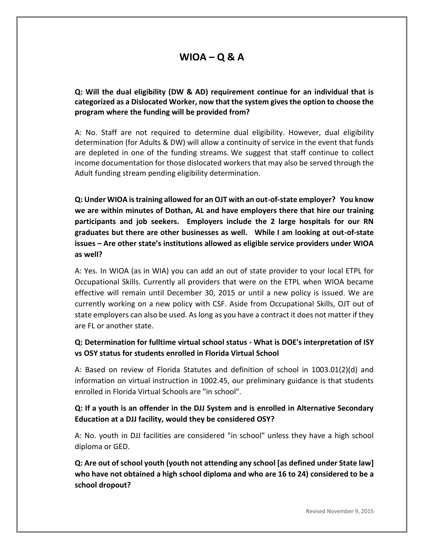# **WIOA – Q & A**

**Q: Will the dual eligibility (DW & AD) requirement continue for an individual that is categorized as a Dislocated Worker, now that the system gives the option to choose the program where the funding will be provided from?**

A: No. Staff are not required to determine dual eligibility. However, dual eligibility determination (for Adults & DW) will allow a continuity of service in the event that funds are depleted in one of the funding streams. We suggest that staff continue to collect income documentation for those dislocated workers that may also be served through the Adult funding stream pending eligibility determination.

**Q: Under WIOA is training allowed for an OJT with an out-of-state employer? You know we are within minutes of Dothan, AL and have employers there that hire our training participants and job seekers. Employers include the 2 large hospitals for our RN graduates but there are other businesses as well. While I am looking at out-of-state issues – Are other state's institutions allowed as eligible service providers under WIOA as well?** 

A: Yes. In WIOA (as in WIA) you can add an out of state provider to your local ETPL for Occupational Skills. Currently all providers that were on the ETPL when WIOA became effective will remain until December 30, 2015 or until a new policy is issued. We are currently working on a new policy with CSF. Aside from Occupational Skills, OJT out of state employers can also be used. As long as you have a contract it does not matter if they are FL or another state.

### **Q: Determination for fulltime virtual school status - What is DOE's interpretation of ISY vs OSY status for students enrolled in Florida Virtual School**

A: Based on review of Florida Statutes and definition of school in 1003.01(2)(d) and information on virtual instruction in 1002.45, our preliminary guidance is that students enrolled in Florida Virtual Schools are "in school".

### **Q: If a youth is an offender in the DJJ System and is enrolled in Alternative Secondary Education at a DJJ facility, would they be considered OSY?**

A: No. youth in DJJ facilities are considered "in school" unless they have a high school diploma or GED.

**Q: Are out of school youth (youth not attending any school [as defined under State law] who have not obtained a high school diploma and who are 16 to 24) considered to be a school dropout?**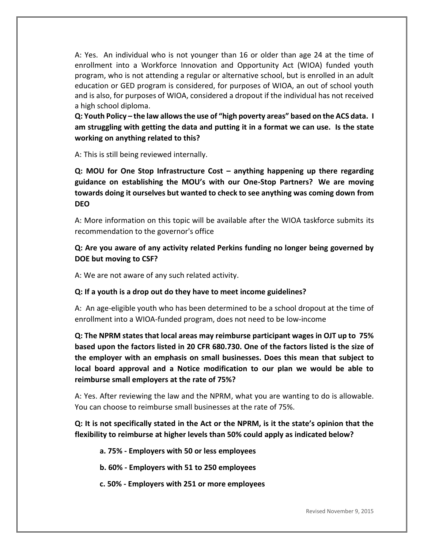A: Yes. An individual who is not younger than 16 or older than age 24 at the time of enrollment into a Workforce Innovation and Opportunity Act (WIOA) funded youth program, who is not attending a regular or alternative school, but is enrolled in an adult education or GED program is considered, for purposes of WIOA, an out of school youth and is also, for purposes of WIOA, considered a dropout if the individual has not received a high school diploma.

**Q: Youth Policy – the law allows the use of "high poverty areas" based on the ACS data. I am struggling with getting the data and putting it in a format we can use. Is the state working on anything related to this?**

A: This is still being reviewed internally.

**Q: MOU for One Stop Infrastructure Cost – anything happening up there regarding guidance on establishing the MOU's with our One-Stop Partners? We are moving towards doing it ourselves but wanted to check to see anything was coming down from DEO**

A: More information on this topic will be available after the WIOA taskforce submits its recommendation to the governor's office

#### **Q: Are you aware of any activity related Perkins funding no longer being governed by DOE but moving to CSF?**

A: We are not aware of any such related activity.

#### **Q: If a youth is a drop out do they have to meet income guidelines?**

A: An age-eligible youth who has been determined to be a school dropout at the time of enrollment into a WIOA-funded program, does not need to be low-income

**Q: The NPRM states that local areas may reimburse participant wages in OJT up to 75% based upon the factors listed in 20 CFR 680.730. One of the factors listed is the size of the employer with an emphasis on small businesses. Does this mean that subject to local board approval and a Notice modification to our plan we would be able to reimburse small employers at the rate of 75%?**

A: Yes. After reviewing the law and the NPRM, what you are wanting to do is allowable. You can choose to reimburse small businesses at the rate of 75%.

**Q: It is not specifically stated in the Act or the NPRM, is it the state's opinion that the flexibility to reimburse at higher levels than 50% could apply as indicated below?** 

- **a. 75% - Employers with 50 or less employees**
- **b. 60% - Employers with 51 to 250 employees**
- **c. 50% - Employers with 251 or more employees**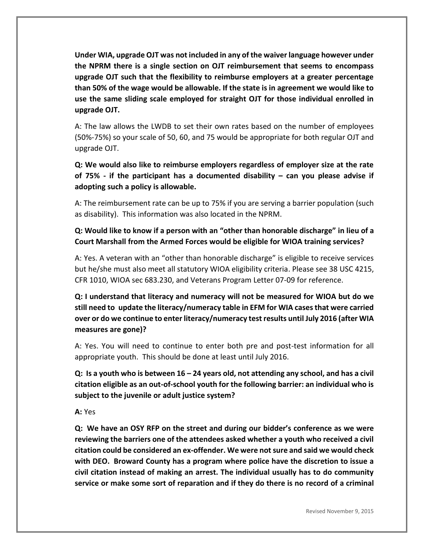**Under WIA, upgrade OJT was not included in any of the waiver language however under the NPRM there is a single section on OJT reimbursement that seems to encompass upgrade OJT such that the flexibility to reimburse employers at a greater percentage than 50% of the wage would be allowable. If the state is in agreement we would like to use the same sliding scale employed for straight OJT for those individual enrolled in upgrade OJT.**

A: The law allows the LWDB to set their own rates based on the number of employees (50%-75%) so your scale of 50, 60, and 75 would be appropriate for both regular OJT and upgrade OJT.

**Q: We would also like to reimburse employers regardless of employer size at the rate of 75% - if the participant has a documented disability – can you please advise if adopting such a policy is allowable.**

A: The reimbursement rate can be up to 75% if you are serving a barrier population (such as disability). This information was also located in the NPRM.

## **Q: Would like to know if a person with an "other than honorable discharge" in lieu of a Court Marshall from the Armed Forces would be eligible for WIOA training services?**

A: Yes. A veteran with an "other than honorable discharge" is eligible to receive services but he/she must also meet all statutory WIOA eligibility criteria. Please see 38 USC 4215, CFR 1010, WIOA sec 683.230, and Veterans Program Letter 07-09 for reference.

**Q: I understand that literacy and numeracy will not be measured for WIOA but do we still need to update the literacy/numeracy table in EFM for WIA cases that were carried over or do we continue to enter literacy/numeracy test results until July 2016 (after WIA measures are gone)?**

A: Yes. You will need to continue to enter both pre and post-test information for all appropriate youth. This should be done at least until July 2016.

**Q: Is a youth who is between 16 – 24 years old, not attending any school, and has a civil citation eligible as an out-of-school youth for the following barrier: an individual who is subject to the juvenile or adult justice system?**

**A:** Yes

**Q: We have an OSY RFP on the street and during our bidder's conference as we were reviewing the barriers one of the attendees asked whether a youth who received a civil citation could be considered an ex-offender. We were not sure and said we would check with DEO. Broward County has a program where police have the discretion to issue a civil citation instead of making an arrest. The individual usually has to do community service or make some sort of reparation and if they do there is no record of a criminal**